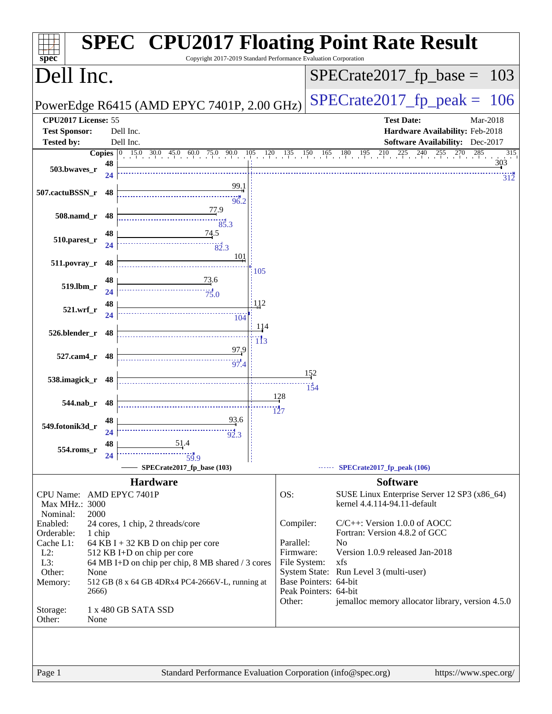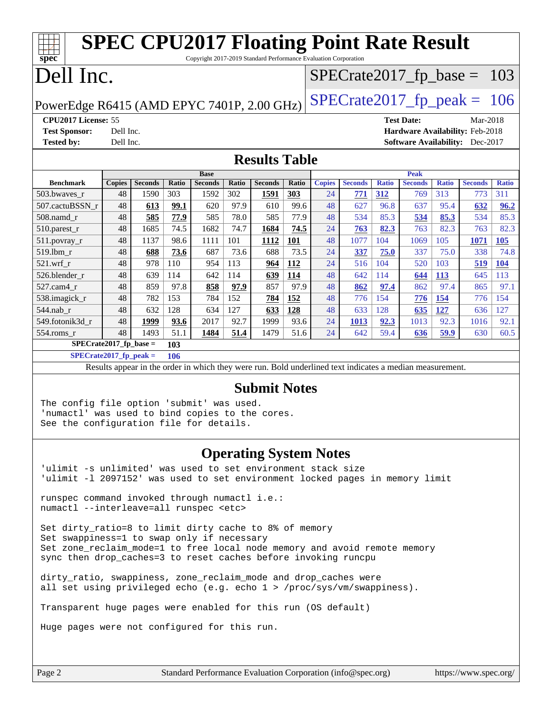| <b>SPEC CPU2017 Floating Point Rate Result</b><br>Copyright 2017-2019 Standard Performance Evaluation Corporation<br>spec <sup>®</sup> |                                                      |                                                                                                          |       |                |              |                |            |               |                |              |                |              |                                        |              |
|----------------------------------------------------------------------------------------------------------------------------------------|------------------------------------------------------|----------------------------------------------------------------------------------------------------------|-------|----------------|--------------|----------------|------------|---------------|----------------|--------------|----------------|--------------|----------------------------------------|--------------|
| Dell Inc.<br>$SPECTate2017_fp\_base = 103$                                                                                             |                                                      |                                                                                                          |       |                |              |                |            |               |                |              |                |              |                                        |              |
| $SPECTate2017$ _fp_peak = 106<br>PowerEdge R6415 (AMD EPYC 7401P, 2.00 GHz)                                                            |                                                      |                                                                                                          |       |                |              |                |            |               |                |              |                |              |                                        |              |
|                                                                                                                                        | CPU2017 License: 55<br><b>Test Date:</b><br>Mar-2018 |                                                                                                          |       |                |              |                |            |               |                |              |                |              |                                        |              |
| <b>Test Sponsor:</b>                                                                                                                   | Dell Inc.                                            |                                                                                                          |       |                |              |                |            |               |                |              |                |              | Hardware Availability: Feb-2018        |              |
| <b>Tested by:</b>                                                                                                                      | Dell Inc.                                            |                                                                                                          |       |                |              |                |            |               |                |              |                |              | <b>Software Availability:</b> Dec-2017 |              |
| <b>Results Table</b>                                                                                                                   |                                                      |                                                                                                          |       |                |              |                |            |               |                |              |                |              |                                        |              |
|                                                                                                                                        |                                                      |                                                                                                          |       | <b>Base</b>    |              |                |            |               |                |              | <b>Peak</b>    |              |                                        |              |
| <b>Benchmark</b>                                                                                                                       | <b>Copies</b>                                        | <b>Seconds</b>                                                                                           | Ratio | <b>Seconds</b> | <b>Ratio</b> | <b>Seconds</b> | Ratio      | <b>Copies</b> | <b>Seconds</b> | <b>Ratio</b> | <b>Seconds</b> | <b>Ratio</b> | <b>Seconds</b>                         | <b>Ratio</b> |
| 503.bwaves_r                                                                                                                           | 48                                                   | 1590                                                                                                     | 303   | 1592           | 302          | 1591           | 303        | 24            | 771            | 312          | 769            | 313          | 773                                    | 311          |
| 507.cactuBSSN_r                                                                                                                        | 48                                                   | 613                                                                                                      | 99.1  | 620            | 97.9         | 610            | 99.6       | 48            | 627            | 96.8         | 637            | 95.4         | 632                                    | 96.2         |
| 508.namd_r                                                                                                                             | 48                                                   | 585                                                                                                      | 77.9  | 585            | 78.0         | 585            | 77.9       | 48            | 534            | 85.3         | 534            | 85.3         | 534                                    | 85.3         |
| 510.parest_r                                                                                                                           | 48                                                   | 1685                                                                                                     | 74.5  | 1682           | 74.7         | 1684           | 74.5       | 24            | 763            | 82.3         | 763            | 82.3         | 763                                    | 82.3         |
| $511.$ povray_r                                                                                                                        | 48                                                   | 1137                                                                                                     | 98.6  | 1111           | 101          | 1112           | <b>101</b> | 48            | 1077           | 104          | 1069           | 105          | 1071                                   | 105          |
| 519.1bm_r                                                                                                                              | 48                                                   | 688                                                                                                      | 73.6  | 687            | 73.6         | 688            | 73.5       | 24            | 337            | 75.0         | 337            | 75.0         | 338                                    | 74.8         |
| 521.wrf r                                                                                                                              | 48                                                   | 978                                                                                                      | 110   | 954            | 113          | 964            | 112        | 24            | 516            | 104          | 520            | 103          | 519                                    | 104          |
| 526.blender r                                                                                                                          | 48                                                   | 639                                                                                                      | 114   | 642            | 114          | 639            | 114        | 48            | 642            | 114          | 644            | 113          | 645                                    | 113          |
| 527.cam4_r                                                                                                                             | 48                                                   | 859                                                                                                      | 97.8  | 858            | 97.9         | 857            | 97.9       | 48            | 862            | 97.4         | 862            | 97.4         | 865                                    | 97.1         |
| 538.imagick_r                                                                                                                          | 48                                                   | 782                                                                                                      | 153   | 784            | 152          | 784            | 152        | 48            | 776            | 154          | 776            | 154          | 776                                    | 154          |
| 544.nab_r                                                                                                                              | 48                                                   | 632                                                                                                      | 128   | 634            | 127          | 633            | 128        | 48            | 633            | 128          | 635            | 127          | 636                                    | 127          |
| 549.fotonik3d_r                                                                                                                        | 48                                                   | 1999                                                                                                     | 93.6  | 2017           | 92.7         | 1999           | 93.6       | 24            | 1013           | 92.3         | 1013           | 92.3         | 1016                                   | 92.1         |
| 554.roms r                                                                                                                             | 48                                                   | 1493                                                                                                     | 51.1  | 1484           | 51.4         | 1479           | 51.6       | 24            | 642            | 59.4         | 636            | 59.9         | 630                                    | 60.5         |
| $SPECrate2017_fp\_base =$                                                                                                              |                                                      |                                                                                                          | 103   |                |              |                |            |               |                |              |                |              |                                        |              |
| $SPECrate2017_fp_peak =$                                                                                                               |                                                      |                                                                                                          | 106   |                |              |                |            |               |                |              |                |              |                                        |              |
|                                                                                                                                        |                                                      | Results appear in the order in which they were run. Bold underlined text indicates a median measurement. |       |                |              |                |            |               |                |              |                |              |                                        |              |
| $C1h2h3h4h2$                                                                                                                           |                                                      |                                                                                                          |       |                |              |                |            |               |                |              |                |              |                                        |              |

#### **[Submit Notes](http://www.spec.org/auto/cpu2017/Docs/result-fields.html#SubmitNotes)**

The config file option 'submit' was used. 'numactl' was used to bind copies to the cores. See the configuration file for details.

#### **[Operating System Notes](http://www.spec.org/auto/cpu2017/Docs/result-fields.html#OperatingSystemNotes)**

'ulimit -s unlimited' was used to set environment stack size 'ulimit -l 2097152' was used to set environment locked pages in memory limit

runspec command invoked through numactl i.e.: numactl --interleave=all runspec <etc>

Set dirty ratio=8 to limit dirty cache to 8% of memory Set swappiness=1 to swap only if necessary Set zone\_reclaim\_mode=1 to free local node memory and avoid remote memory sync then drop\_caches=3 to reset caches before invoking runcpu

dirty\_ratio, swappiness, zone\_reclaim\_mode and drop\_caches were all set using privileged echo (e.g. echo 1 > /proc/sys/vm/swappiness).

Transparent huge pages were enabled for this run (OS default)

Huge pages were not configured for this run.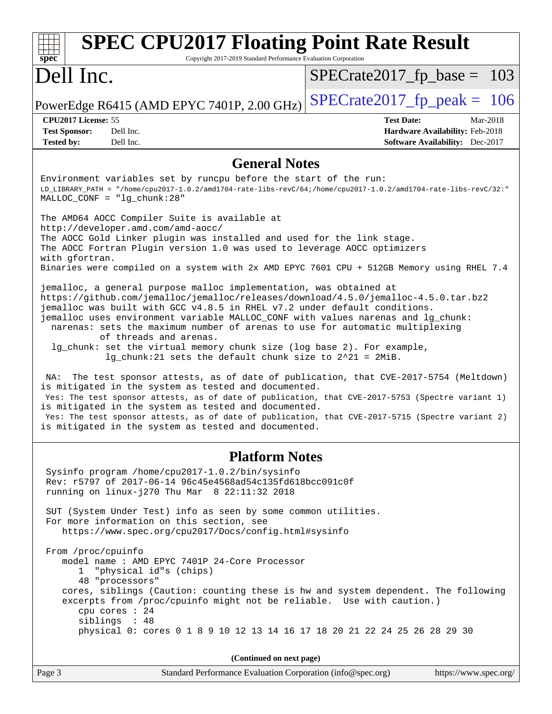| <b>SPEC CPU2017 Floating Point Rate Result</b><br>spec <sup>®</sup><br>Copyright 2017-2019 Standard Performance Evaluation Corporation                                                                                                                                                                                                                                                                                                                                                                                                                                                                                                                                                                                                                                                                                                                                                                                                                                                                                                                                                                                                                                                                                                                                                                                                                                                                                                                                                                                                                                                                                                                 |                                                                                                            |  |  |  |  |  |
|--------------------------------------------------------------------------------------------------------------------------------------------------------------------------------------------------------------------------------------------------------------------------------------------------------------------------------------------------------------------------------------------------------------------------------------------------------------------------------------------------------------------------------------------------------------------------------------------------------------------------------------------------------------------------------------------------------------------------------------------------------------------------------------------------------------------------------------------------------------------------------------------------------------------------------------------------------------------------------------------------------------------------------------------------------------------------------------------------------------------------------------------------------------------------------------------------------------------------------------------------------------------------------------------------------------------------------------------------------------------------------------------------------------------------------------------------------------------------------------------------------------------------------------------------------------------------------------------------------------------------------------------------------|------------------------------------------------------------------------------------------------------------|--|--|--|--|--|
| Dell Inc.                                                                                                                                                                                                                                                                                                                                                                                                                                                                                                                                                                                                                                                                                                                                                                                                                                                                                                                                                                                                                                                                                                                                                                                                                                                                                                                                                                                                                                                                                                                                                                                                                                              | $SPECrate2017_fp\_base = 103$                                                                              |  |  |  |  |  |
| PowerEdge R6415 (AMD EPYC 7401P, 2.00 GHz)                                                                                                                                                                                                                                                                                                                                                                                                                                                                                                                                                                                                                                                                                                                                                                                                                                                                                                                                                                                                                                                                                                                                                                                                                                                                                                                                                                                                                                                                                                                                                                                                             | $SPECTate2017$ _fp_peak = 106                                                                              |  |  |  |  |  |
| CPU2017 License: 55<br><b>Test Sponsor:</b><br>Dell Inc.<br>Dell Inc.<br><b>Tested by:</b>                                                                                                                                                                                                                                                                                                                                                                                                                                                                                                                                                                                                                                                                                                                                                                                                                                                                                                                                                                                                                                                                                                                                                                                                                                                                                                                                                                                                                                                                                                                                                             | <b>Test Date:</b><br>Mar-2018<br>Hardware Availability: Feb-2018<br><b>Software Availability:</b> Dec-2017 |  |  |  |  |  |
| <b>General Notes</b>                                                                                                                                                                                                                                                                                                                                                                                                                                                                                                                                                                                                                                                                                                                                                                                                                                                                                                                                                                                                                                                                                                                                                                                                                                                                                                                                                                                                                                                                                                                                                                                                                                   |                                                                                                            |  |  |  |  |  |
| Environment variables set by runcpu before the start of the run:<br>LD_LIBRARY_PATH = "/home/cpu2017-1.0.2/amd1704-rate-libs-revC/64;/home/cpu2017-1.0.2/amd1704-rate-libs-revC/32:"<br>$MALLOC\_CONF = "lg_chunk:28"$<br>The AMD64 AOCC Compiler Suite is available at<br>http://developer.amd.com/amd-aocc/<br>The AOCC Gold Linker plugin was installed and used for the link stage.<br>The AOCC Fortran Plugin version 1.0 was used to leverage AOCC optimizers<br>with gfortran.<br>Binaries were compiled on a system with 2x AMD EPYC 7601 CPU + 512GB Memory using RHEL 7.4<br>jemalloc, a general purpose malloc implementation, was obtained at<br>https://github.com/jemalloc/jemalloc/releases/download/4.5.0/jemalloc-4.5.0.tar.bz2<br>jemalloc was built with GCC v4.8.5 in RHEL v7.2 under default conditions.<br>jemalloc uses environment variable MALLOC_CONF with values narenas and lg_chunk:<br>narenas: sets the maximum number of arenas to use for automatic multiplexing<br>of threads and arenas.<br>lg_chunk: set the virtual memory chunk size (log base 2). For example,<br>$lg_c$ chunk: 21 sets the default chunk size to $2^2$ 21 = 2MiB.<br>The test sponsor attests, as of date of publication, that CVE-2017-5754 (Meltdown)<br>NA:<br>is mitigated in the system as tested and documented.<br>Yes: The test sponsor attests, as of date of publication, that CVE-2017-5753 (Spectre variant 1)<br>is mitigated in the system as tested and documented.<br>Yes: The test sponsor attests, as of date of publication, that CVE-2017-5715 (Spectre variant 2)<br>is mitigated in the system as tested and documented. |                                                                                                            |  |  |  |  |  |
| <b>Platform Notes</b>                                                                                                                                                                                                                                                                                                                                                                                                                                                                                                                                                                                                                                                                                                                                                                                                                                                                                                                                                                                                                                                                                                                                                                                                                                                                                                                                                                                                                                                                                                                                                                                                                                  |                                                                                                            |  |  |  |  |  |
| Sysinfo program /home/cpu2017-1.0.2/bin/sysinfo<br>Rev: r5797 of 2017-06-14 96c45e4568ad54c135fd618bcc091c0f<br>running on $linux-j270$ Thu Mar $8$ $22:11:32$ 2018                                                                                                                                                                                                                                                                                                                                                                                                                                                                                                                                                                                                                                                                                                                                                                                                                                                                                                                                                                                                                                                                                                                                                                                                                                                                                                                                                                                                                                                                                    |                                                                                                            |  |  |  |  |  |
| SUT (System Under Test) info as seen by some common utilities.<br>For more information on this section, see<br>https://www.spec.org/cpu2017/Docs/config.html#sysinfo                                                                                                                                                                                                                                                                                                                                                                                                                                                                                                                                                                                                                                                                                                                                                                                                                                                                                                                                                                                                                                                                                                                                                                                                                                                                                                                                                                                                                                                                                   |                                                                                                            |  |  |  |  |  |
| From /proc/cpuinfo<br>model name: AMD EPYC 7401P 24-Core Processor<br>1 "physical id"s (chips)<br>48 "processors"<br>cores, siblings (Caution: counting these is hw and system dependent. The following<br>excerpts from /proc/cpuinfo might not be reliable. Use with caution.)<br>cpu cores : 24<br>siblings : 48<br>physical 0: cores 0 1 8 9 10 12 13 14 16 17 18 20 21 22 24 25 26 28 29 30                                                                                                                                                                                                                                                                                                                                                                                                                                                                                                                                                                                                                                                                                                                                                                                                                                                                                                                                                                                                                                                                                                                                                                                                                                                       |                                                                                                            |  |  |  |  |  |
| (Continued on next page)                                                                                                                                                                                                                                                                                                                                                                                                                                                                                                                                                                                                                                                                                                                                                                                                                                                                                                                                                                                                                                                                                                                                                                                                                                                                                                                                                                                                                                                                                                                                                                                                                               |                                                                                                            |  |  |  |  |  |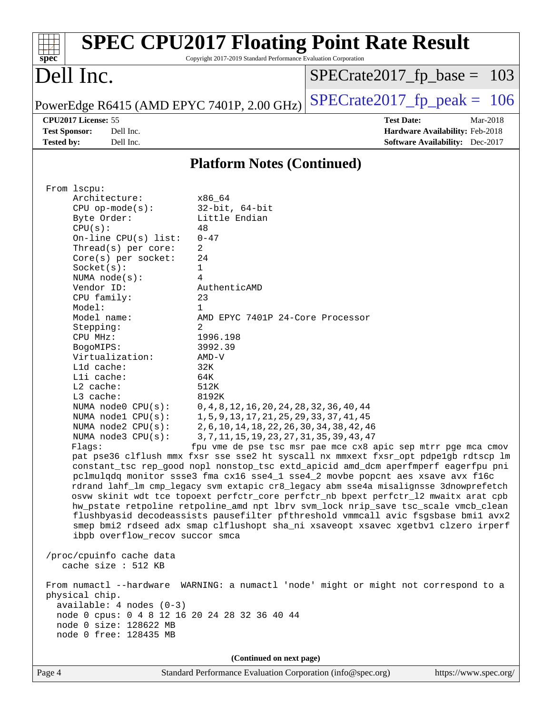| <b>SPEC CPU2017 Floating Point Rate Result</b><br>Copyright 2017-2019 Standard Performance Evaluation Corporation<br>spec <sup>®</sup> |                                                               |
|----------------------------------------------------------------------------------------------------------------------------------------|---------------------------------------------------------------|
| Dell Inc.                                                                                                                              | $SPECrate2017_fp\_base = 103$                                 |
| PowerEdge R6415 (AMD EPYC 7401P, 2.00 GHz)                                                                                             | $SPECTate2017$ _fp_peak = 106                                 |
| CPU2017 License: 55                                                                                                                    | <b>Test Date:</b><br>Mar-2018                                 |
| <b>Test Sponsor:</b><br>Dell Inc.                                                                                                      | Hardware Availability: Feb-2018                               |
| Dell Inc.<br><b>Tested by:</b>                                                                                                         | <b>Software Availability:</b> Dec-2017                        |
| <b>Platform Notes (Continued)</b>                                                                                                      |                                                               |
| From lscpu:                                                                                                                            |                                                               |
| Architecture:<br>x86 64                                                                                                                |                                                               |
| $32$ -bit, $64$ -bit<br>$CPU$ op-mode( $s$ ):                                                                                          |                                                               |
| Little Endian<br>Byte Order:                                                                                                           |                                                               |
| CPU(s):<br>48                                                                                                                          |                                                               |
| On-line $CPU(s)$ list:<br>$0 - 47$<br>2                                                                                                |                                                               |
| Thread(s) per core:<br>Core(s) per socket:<br>24                                                                                       |                                                               |
| Socket(s):<br>1                                                                                                                        |                                                               |
| 4<br>NUMA node(s):                                                                                                                     |                                                               |
| Vendor ID:<br>AuthenticAMD                                                                                                             |                                                               |
| CPU family:<br>23                                                                                                                      |                                                               |
| Model:<br>1                                                                                                                            |                                                               |
| Model name:<br>AMD EPYC 7401P 24-Core Processor                                                                                        |                                                               |
| Stepping:<br>2                                                                                                                         |                                                               |
| CPU MHz:<br>1996.198                                                                                                                   |                                                               |
| 3992.39<br>BogoMIPS:<br>Virtualization:<br>$AMD-V$                                                                                     |                                                               |
| L1d cache:<br>32K                                                                                                                      |                                                               |
| Lli cache:<br>64K                                                                                                                      |                                                               |
| $L2$ cache:<br>512K                                                                                                                    |                                                               |
| L3 cache:<br>8192K                                                                                                                     |                                                               |
| NUMA node0 CPU(s):<br>0, 4, 8, 12, 16, 20, 24, 28, 32, 36, 40, 44                                                                      |                                                               |
| 1, 5, 9, 13, 17, 21, 25, 29, 33, 37, 41, 45<br>NUMA $node1$ $CPU(s):$                                                                  |                                                               |
| 2, 6, 10, 14, 18, 22, 26, 30, 34, 38, 42, 46<br>NUMA node2 CPU(s):                                                                     |                                                               |
| 3, 7, 11, 15, 19, 23, 27, 31, 35, 39, 43, 47<br>NUMA $node3$ $CPU(s):$                                                                 |                                                               |
| Flags:<br>pat pse36 clflush mmx fxsr sse sse2 ht syscall nx mmxext fxsr_opt pdpe1gb rdtscp lm                                          | fpu vme de pse tsc msr pae mce cx8 apic sep mtrr pge mca cmov |
| constant_tsc rep_good nopl nonstop_tsc extd_apicid amd_dcm aperfmperf eagerfpu pni                                                     |                                                               |
| pclmulqdq monitor ssse3 fma cx16 sse4_1 sse4_2 movbe popcnt aes xsave avx f16c                                                         |                                                               |
| rdrand lahf_lm cmp_legacy svm extapic cr8_legacy abm sse4a misalignsse 3dnowprefetch                                                   |                                                               |
| osvw skinit wdt tce topoext perfctr_core perfctr_nb bpext perfctr_12 mwaitx arat cpb                                                   |                                                               |
| hw_pstate retpoline retpoline_amd npt lbrv svm_lock nrip_save tsc_scale vmcb_clean                                                     |                                                               |
| flushbyasid decodeassists pausefilter pfthreshold vmmcall avic fsgsbase bmil avx2                                                      |                                                               |
| smep bmi2 rdseed adx smap clflushopt sha_ni xsaveopt xsavec xgetbvl clzero irperf                                                      |                                                               |
| ibpb overflow_recov succor smca                                                                                                        |                                                               |
| /proc/cpuinfo cache data                                                                                                               |                                                               |
| cache size : 512 KB                                                                                                                    |                                                               |
| From numactl --hardware WARNING: a numactl 'node' might or might not correspond to a<br>physical chip.                                 |                                                               |
| $available: 4 nodes (0-3)$                                                                                                             |                                                               |
| node 0 cpus: 0 4 8 12 16 20 24 28 32 36 40 44                                                                                          |                                                               |
| node 0 size: 128622 MB                                                                                                                 |                                                               |
| node 0 free: 128435 MB                                                                                                                 |                                                               |
| (Continued on next page)                                                                                                               |                                                               |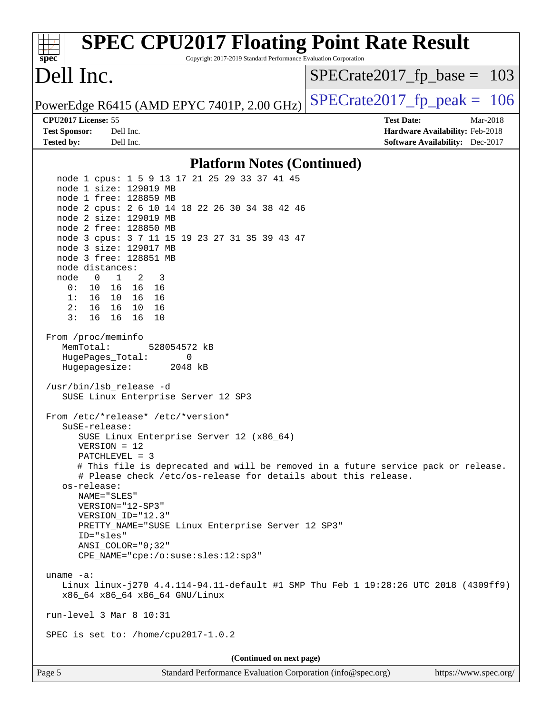| <b>SPEC CPU2017 Floating Point Rate Result</b><br>Copyright 2017-2019 Standard Performance Evaluation Corporation<br>$sp\overline{ec}$                                                                                                                                                                                                                                                                                                                                                                                                                                                                                                                                                                                                                                                                                                                                                                                                                                                                                                                                                                                                                                                                                                                                                                                                            |                                                                                                            |
|---------------------------------------------------------------------------------------------------------------------------------------------------------------------------------------------------------------------------------------------------------------------------------------------------------------------------------------------------------------------------------------------------------------------------------------------------------------------------------------------------------------------------------------------------------------------------------------------------------------------------------------------------------------------------------------------------------------------------------------------------------------------------------------------------------------------------------------------------------------------------------------------------------------------------------------------------------------------------------------------------------------------------------------------------------------------------------------------------------------------------------------------------------------------------------------------------------------------------------------------------------------------------------------------------------------------------------------------------|------------------------------------------------------------------------------------------------------------|
| Dell Inc.                                                                                                                                                                                                                                                                                                                                                                                                                                                                                                                                                                                                                                                                                                                                                                                                                                                                                                                                                                                                                                                                                                                                                                                                                                                                                                                                         | $SPECrate2017_fp\_base = 103$                                                                              |
| PowerEdge R6415 (AMD EPYC 7401P, 2.00 GHz)                                                                                                                                                                                                                                                                                                                                                                                                                                                                                                                                                                                                                                                                                                                                                                                                                                                                                                                                                                                                                                                                                                                                                                                                                                                                                                        | $SPECrate2017rfp peak = 106$                                                                               |
| CPU2017 License: 55<br><b>Test Sponsor:</b><br>Dell Inc.<br><b>Tested by:</b><br>Dell Inc.                                                                                                                                                                                                                                                                                                                                                                                                                                                                                                                                                                                                                                                                                                                                                                                                                                                                                                                                                                                                                                                                                                                                                                                                                                                        | <b>Test Date:</b><br>Mar-2018<br>Hardware Availability: Feb-2018<br><b>Software Availability:</b> Dec-2017 |
| <b>Platform Notes (Continued)</b>                                                                                                                                                                                                                                                                                                                                                                                                                                                                                                                                                                                                                                                                                                                                                                                                                                                                                                                                                                                                                                                                                                                                                                                                                                                                                                                 |                                                                                                            |
| node 1 cpus: 1 5 9 13 17 21 25 29 33 37 41 45<br>node 1 size: 129019 MB<br>node 1 free: 128859 MB<br>node 2 cpus: 2 6 10 14 18 22 26 30 34 38 42 46<br>node 2 size: 129019 MB<br>node 2 free: 128850 MB<br>node 3 cpus: 3 7 11 15 19 23 27 31 35 39 43 47<br>node 3 size: 129017 MB<br>node 3 free: 128851 MB<br>node distances:<br>node<br>$0 \quad 1 \quad 2$<br>3<br>0: 10 16 16 16<br>1: 16 10 16 16<br>2: 16 16 10 16<br>3:<br>16<br>16 16<br>10<br>From /proc/meminfo<br>MemTotal:<br>528054572 kB<br>HugePages_Total:<br>0<br>Hugepagesize:<br>2048 kB<br>/usr/bin/lsb_release -d<br>SUSE Linux Enterprise Server 12 SP3<br>From /etc/*release* /etc/*version*<br>SuSE-release:<br>SUSE Linux Enterprise Server 12 (x86_64)<br>$VERSION = 12$<br>PATCHLEVEL = 3<br># This file is deprecated and will be removed in a future service pack or release.<br># Please check /etc/os-release for details about this release.<br>os-release:<br>NAME="SLES"<br>VERSION="12-SP3"<br>VERSION_ID="12.3"<br>PRETTY_NAME="SUSE Linux Enterprise Server 12 SP3"<br>ID="sles"<br>ANSI COLOR="0;32"<br>CPE_NAME="cpe:/o:suse:sles:12:sp3"<br>uname $-a$ :<br>Linux linux-j270 4.4.114-94.11-default #1 SMP Thu Feb 1 19:28:26 UTC 2018 (4309ff9)<br>x86_64 x86_64 x86_64 GNU/Linux<br>run-level $3$ Mar $8$ 10:31<br>SPEC is set to: /home/cpu2017-1.0.2 |                                                                                                            |
| (Continued on next page)                                                                                                                                                                                                                                                                                                                                                                                                                                                                                                                                                                                                                                                                                                                                                                                                                                                                                                                                                                                                                                                                                                                                                                                                                                                                                                                          |                                                                                                            |
| Standard Performance Evaluation Corporation (info@spec.org)<br>Page 5                                                                                                                                                                                                                                                                                                                                                                                                                                                                                                                                                                                                                                                                                                                                                                                                                                                                                                                                                                                                                                                                                                                                                                                                                                                                             | https://www.spec.org/                                                                                      |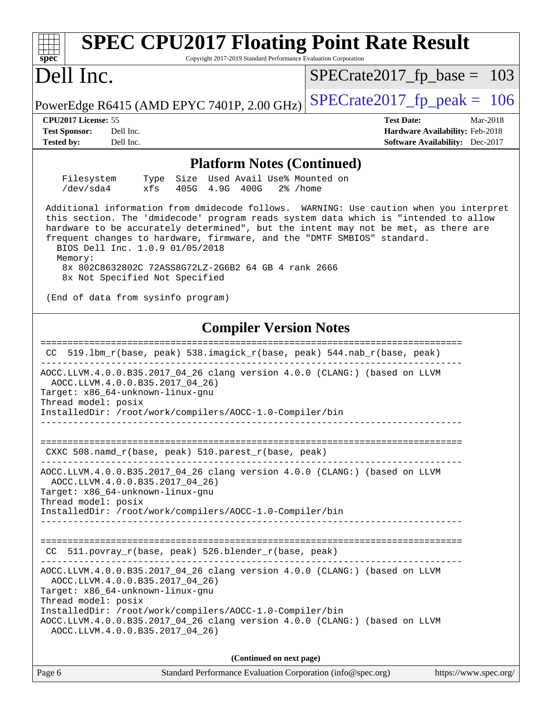| <b>SPEC CPU2017 Floating Point Rate Result</b><br>Copyright 2017-2019 Standard Performance Evaluation Corporation<br>spec <sup>®</sup>                                                                                                                                                                                                                                                                                                                                                |                                                                                                            |
|---------------------------------------------------------------------------------------------------------------------------------------------------------------------------------------------------------------------------------------------------------------------------------------------------------------------------------------------------------------------------------------------------------------------------------------------------------------------------------------|------------------------------------------------------------------------------------------------------------|
| Dell Inc.                                                                                                                                                                                                                                                                                                                                                                                                                                                                             | $SPECrate2017_fp\_base = 103$                                                                              |
| PowerEdge R6415 (AMD EPYC 7401P, 2.00 GHz)                                                                                                                                                                                                                                                                                                                                                                                                                                            | $SPECrate2017_fp\_peak = 106$                                                                              |
| CPU2017 License: 55<br><b>Test Sponsor:</b><br>Dell Inc.<br><b>Tested by:</b><br>Dell Inc.                                                                                                                                                                                                                                                                                                                                                                                            | <b>Test Date:</b><br>Mar-2018<br>Hardware Availability: Feb-2018<br><b>Software Availability:</b> Dec-2017 |
|                                                                                                                                                                                                                                                                                                                                                                                                                                                                                       |                                                                                                            |
| <b>Platform Notes (Continued)</b><br>Size Used Avail Use% Mounted on<br>Filesystem<br>Type                                                                                                                                                                                                                                                                                                                                                                                            |                                                                                                            |
| /dev/sda4<br>xfs<br>405G 4.9G 400G<br>$2\%$ /home                                                                                                                                                                                                                                                                                                                                                                                                                                     |                                                                                                            |
| Additional information from dmidecode follows. WARNING: Use caution when you interpret<br>this section. The 'dmidecode' program reads system data which is "intended to allow<br>hardware to be accurately determined", but the intent may not be met, as there are<br>frequent changes to hardware, firmware, and the "DMTF SMBIOS" standard.<br>BIOS Dell Inc. 1.0.9 01/05/2018<br>Memory:<br>8x 802C8632802C 72ASS8G72LZ-2G6B2 64 GB 4 rank 2666<br>8x Not Specified Not Specified |                                                                                                            |
| (End of data from sysinfo program)                                                                                                                                                                                                                                                                                                                                                                                                                                                    |                                                                                                            |
| <b>Compiler Version Notes</b>                                                                                                                                                                                                                                                                                                                                                                                                                                                         |                                                                                                            |
| 519.1bm_r(base, peak) 538.imagick_r(base, peak) 544.nab_r(base, peak)<br>CC.                                                                                                                                                                                                                                                                                                                                                                                                          |                                                                                                            |
| AOCC.LLVM.4.0.0.B35.2017_04_26 clang version 4.0.0 (CLANG:) (based on LLVM<br>AOCC.LLVM.4.0.0.B35.2017_04_26)<br>Target: x86_64-unknown-linux-gnu<br>Thread model: posix<br>InstalledDir: /root/work/compilers/AOCC-1.0-Compiler/bin                                                                                                                                                                                                                                                  |                                                                                                            |
| CXXC 508.namd_r(base, peak) 510.parest_r(base, peak)                                                                                                                                                                                                                                                                                                                                                                                                                                  |                                                                                                            |
| AOCC.LLVM.4.0.0.B35.2017_04_26 clang version 4.0.0 (CLANG:) (based on LLVM<br>AOCC.LLVM.4.0.0.B35.2017_04_26)<br>Target: x86_64-unknown-linux-gnu<br>Thread model: posix                                                                                                                                                                                                                                                                                                              |                                                                                                            |
| InstalledDir: /root/work/compilers/AOCC-1.0-Compiler/bin                                                                                                                                                                                                                                                                                                                                                                                                                              |                                                                                                            |
| 511.povray_r(base, peak) 526.blender_r(base, peak)<br>CC.                                                                                                                                                                                                                                                                                                                                                                                                                             |                                                                                                            |
| AOCC.LLVM.4.0.0.B35.2017_04_26 clang version 4.0.0 (CLANG:) (based on LLVM<br>AOCC.LLVM.4.0.0.B35.2017_04_26)<br>Target: x86_64-unknown-linux-gnu<br>Thread model: posix<br>InstalledDir: /root/work/compilers/AOCC-1.0-Compiler/bin<br>AOCC.LLVM.4.0.0.B35.2017_04_26 clang version 4.0.0 (CLANG:) (based on LLVM                                                                                                                                                                    |                                                                                                            |
| AOCC.LLVM.4.0.0.B35.2017_04_26)                                                                                                                                                                                                                                                                                                                                                                                                                                                       |                                                                                                            |
| (Continued on next page)                                                                                                                                                                                                                                                                                                                                                                                                                                                              |                                                                                                            |
| Page 6<br>Standard Performance Evaluation Corporation (info@spec.org)                                                                                                                                                                                                                                                                                                                                                                                                                 | https://www.spec.org/                                                                                      |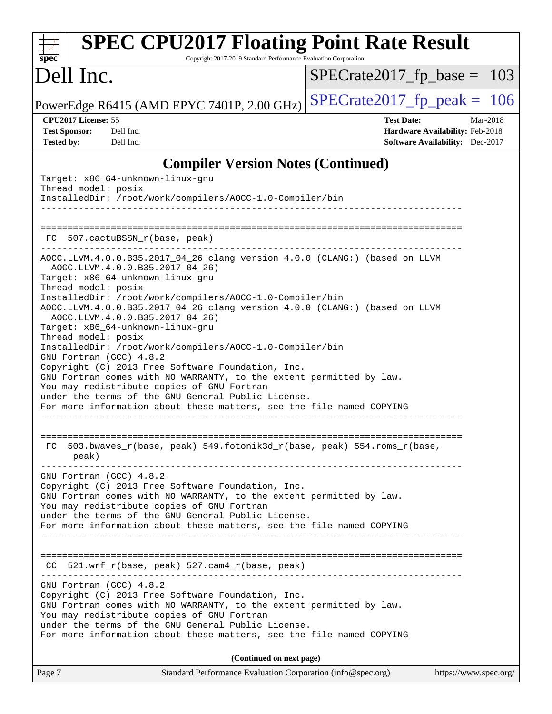| <b>SPEC CPU2017 Floating Point Rate Result</b><br>Copyright 2017-2019 Standard Performance Evaluation Corporation<br>$spec^*$                                                                                                                                                                                                   |                                                                                                            |
|---------------------------------------------------------------------------------------------------------------------------------------------------------------------------------------------------------------------------------------------------------------------------------------------------------------------------------|------------------------------------------------------------------------------------------------------------|
| Dell Inc.                                                                                                                                                                                                                                                                                                                       | $SPECrate2017_fp\_base = 103$                                                                              |
| PowerEdge R6415 (AMD EPYC 7401P, 2.00 GHz)                                                                                                                                                                                                                                                                                      | $SPECrate2017_fp\_peak = 106$                                                                              |
| CPU2017 License: 55<br><b>Test Sponsor:</b><br>Dell Inc.<br><b>Tested by:</b><br>Dell Inc.                                                                                                                                                                                                                                      | <b>Test Date:</b><br>Mar-2018<br>Hardware Availability: Feb-2018<br><b>Software Availability:</b> Dec-2017 |
| <b>Compiler Version Notes (Continued)</b>                                                                                                                                                                                                                                                                                       |                                                                                                            |
| Target: x86_64-unknown-linux-gnu<br>Thread model: posix<br>InstalledDir: /root/work/compilers/AOCC-1.0-Compiler/bin                                                                                                                                                                                                             |                                                                                                            |
| FC 507.cactuBSSN_r(base, peak)                                                                                                                                                                                                                                                                                                  |                                                                                                            |
| AOCC.LLVM.4.0.0.B35.2017_04_26 clang version 4.0.0 (CLANG:) (based on LLVM<br>AOCC.LLVM.4.0.0.B35.2017 04 26)<br>Target: x86_64-unknown-linux-gnu<br>Thread model: posix                                                                                                                                                        |                                                                                                            |
| InstalledDir: /root/work/compilers/AOCC-1.0-Compiler/bin<br>AOCC.LLVM.4.0.0.B35.2017_04_26 clang version 4.0.0 (CLANG:) (based on LLVM<br>AOCC.LLVM.4.0.0.B35.2017_04_26)<br>Target: x86_64-unknown-linux-gnu<br>Thread model: posix                                                                                            |                                                                                                            |
| InstalledDir: /root/work/compilers/AOCC-1.0-Compiler/bin<br>GNU Fortran (GCC) 4.8.2<br>Copyright (C) 2013 Free Software Foundation, Inc.                                                                                                                                                                                        |                                                                                                            |
| GNU Fortran comes with NO WARRANTY, to the extent permitted by law.<br>You may redistribute copies of GNU Fortran<br>under the terms of the GNU General Public License.<br>For more information about these matters, see the file named COPYING                                                                                 |                                                                                                            |
| 503.bwaves_r(base, peak) 549.fotonik3d_r(base, peak) 554.roms_r(base,<br>FC.<br>peak)                                                                                                                                                                                                                                           |                                                                                                            |
| GNU Fortran (GCC) 4.8.2<br>Copyright (C) 2013 Free Software Foundation, Inc.<br>GNU Fortran comes with NO WARRANTY, to the extent permitted by law.<br>You may redistribute copies of GNU Fortran<br>under the terms of the GNU General Public License.                                                                         |                                                                                                            |
| For more information about these matters, see the file named COPYING                                                                                                                                                                                                                                                            |                                                                                                            |
| $CC$ 521.wrf_r(base, peak) 527.cam4_r(base, peak)                                                                                                                                                                                                                                                                               |                                                                                                            |
| GNU Fortran (GCC) 4.8.2<br>Copyright (C) 2013 Free Software Foundation, Inc.<br>GNU Fortran comes with NO WARRANTY, to the extent permitted by law.<br>You may redistribute copies of GNU Fortran<br>under the terms of the GNU General Public License.<br>For more information about these matters, see the file named COPYING |                                                                                                            |
| (Continued on next page)                                                                                                                                                                                                                                                                                                        |                                                                                                            |
| Page 7<br>Standard Performance Evaluation Corporation (info@spec.org)                                                                                                                                                                                                                                                           | https://www.spec.org/                                                                                      |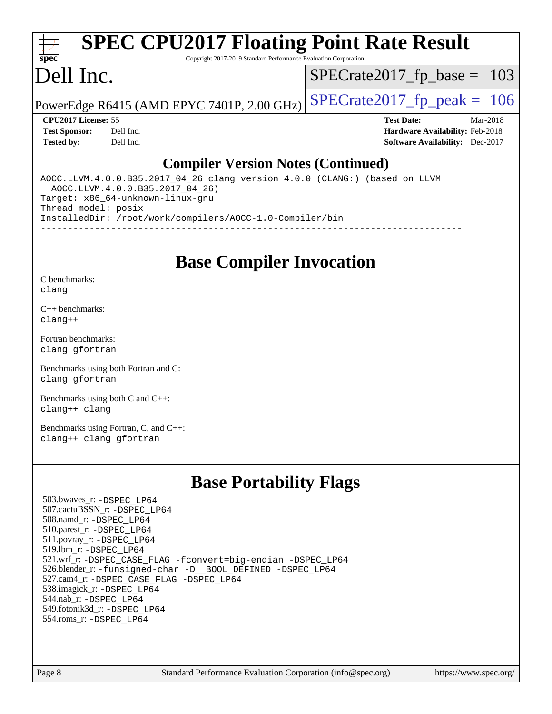#### **[spec](http://www.spec.org/) [SPEC CPU2017 Floating Point Rate Result](http://www.spec.org/auto/cpu2017/Docs/result-fields.html#SPECCPU2017FloatingPointRateResult)** Copyright 2017-2019 Standard Performance Evaluation Corporation

# Dell Inc.

[SPECrate2017\\_fp\\_base =](http://www.spec.org/auto/cpu2017/Docs/result-fields.html#SPECrate2017fpbase) 103

PowerEdge R6415 (AMD EPYC 7401P, 2.00 GHz)  $\left|$  [SPECrate2017\\_fp\\_peak =](http://www.spec.org/auto/cpu2017/Docs/result-fields.html#SPECrate2017fppeak) 106

**[CPU2017 License:](http://www.spec.org/auto/cpu2017/Docs/result-fields.html#CPU2017License)** 55 **[Test Date:](http://www.spec.org/auto/cpu2017/Docs/result-fields.html#TestDate)** Mar-2018 **[Test Sponsor:](http://www.spec.org/auto/cpu2017/Docs/result-fields.html#TestSponsor)** Dell Inc. **[Hardware Availability:](http://www.spec.org/auto/cpu2017/Docs/result-fields.html#HardwareAvailability)** Feb-2018 **[Tested by:](http://www.spec.org/auto/cpu2017/Docs/result-fields.html#Testedby)** Dell Inc. **[Software Availability:](http://www.spec.org/auto/cpu2017/Docs/result-fields.html#SoftwareAvailability)** Dec-2017

#### **[Compiler Version Notes \(Continued\)](http://www.spec.org/auto/cpu2017/Docs/result-fields.html#CompilerVersionNotes)**

AOCC.LLVM.4.0.0.B35.2017\_04\_26 clang version 4.0.0 (CLANG:) (based on LLVM AOCC.LLVM.4.0.0.B35.2017\_04\_26) Target: x86\_64-unknown-linux-gnu Thread model: posix InstalledDir: /root/work/compilers/AOCC-1.0-Compiler/bin ------------------------------------------------------------------------------

# **[Base Compiler Invocation](http://www.spec.org/auto/cpu2017/Docs/result-fields.html#BaseCompilerInvocation)**

[C benchmarks](http://www.spec.org/auto/cpu2017/Docs/result-fields.html#Cbenchmarks): [clang](http://www.spec.org/cpu2017/results/res2018q2/cpu2017-20180319-04030.flags.html#user_CCbase_Fclang3)

[C++ benchmarks:](http://www.spec.org/auto/cpu2017/Docs/result-fields.html#CXXbenchmarks) [clang++](http://www.spec.org/cpu2017/results/res2018q2/cpu2017-20180319-04030.flags.html#user_CXXbase_Fclang3_57a48582e5be507d19b2527b3e7d4f85d9b8669ffc9a8a0dbb9bcf949a918a58bbab411e0c4d14a3922022a3e425a90db94042683824c1806feff4324ca1000d)

[Fortran benchmarks](http://www.spec.org/auto/cpu2017/Docs/result-fields.html#Fortranbenchmarks): [clang](http://www.spec.org/cpu2017/results/res2018q2/cpu2017-20180319-04030.flags.html#user_FCbase_Fclang3) [gfortran](http://www.spec.org/cpu2017/results/res2018q2/cpu2017-20180319-04030.flags.html#user_FCbase_gfortran)

[Benchmarks using both Fortran and C](http://www.spec.org/auto/cpu2017/Docs/result-fields.html#BenchmarksusingbothFortranandC): [clang](http://www.spec.org/cpu2017/results/res2018q2/cpu2017-20180319-04030.flags.html#user_CC_FCbase_Fclang3) [gfortran](http://www.spec.org/cpu2017/results/res2018q2/cpu2017-20180319-04030.flags.html#user_CC_FCbase_gfortran)

[Benchmarks using both C and C++](http://www.spec.org/auto/cpu2017/Docs/result-fields.html#BenchmarksusingbothCandCXX): [clang++](http://www.spec.org/cpu2017/results/res2018q2/cpu2017-20180319-04030.flags.html#user_CC_CXXbase_Fclang3_57a48582e5be507d19b2527b3e7d4f85d9b8669ffc9a8a0dbb9bcf949a918a58bbab411e0c4d14a3922022a3e425a90db94042683824c1806feff4324ca1000d) [clang](http://www.spec.org/cpu2017/results/res2018q2/cpu2017-20180319-04030.flags.html#user_CC_CXXbase_Fclang3)

[Benchmarks using Fortran, C, and C++:](http://www.spec.org/auto/cpu2017/Docs/result-fields.html#BenchmarksusingFortranCandCXX) [clang++](http://www.spec.org/cpu2017/results/res2018q2/cpu2017-20180319-04030.flags.html#user_CC_CXX_FCbase_Fclang3_57a48582e5be507d19b2527b3e7d4f85d9b8669ffc9a8a0dbb9bcf949a918a58bbab411e0c4d14a3922022a3e425a90db94042683824c1806feff4324ca1000d) [clang](http://www.spec.org/cpu2017/results/res2018q2/cpu2017-20180319-04030.flags.html#user_CC_CXX_FCbase_Fclang3) [gfortran](http://www.spec.org/cpu2017/results/res2018q2/cpu2017-20180319-04030.flags.html#user_CC_CXX_FCbase_gfortran)

## **[Base Portability Flags](http://www.spec.org/auto/cpu2017/Docs/result-fields.html#BasePortabilityFlags)**

 503.bwaves\_r: [-DSPEC\\_LP64](http://www.spec.org/cpu2017/results/res2018q2/cpu2017-20180319-04030.flags.html#suite_baseEXTRA_PORTABILITY503_bwaves_r_DSPEC_LP64) 507.cactuBSSN\_r: [-DSPEC\\_LP64](http://www.spec.org/cpu2017/results/res2018q2/cpu2017-20180319-04030.flags.html#suite_baseEXTRA_PORTABILITY507_cactuBSSN_r_DSPEC_LP64) 508.namd\_r: [-DSPEC\\_LP64](http://www.spec.org/cpu2017/results/res2018q2/cpu2017-20180319-04030.flags.html#suite_baseEXTRA_PORTABILITY508_namd_r_DSPEC_LP64) 510.parest\_r: [-DSPEC\\_LP64](http://www.spec.org/cpu2017/results/res2018q2/cpu2017-20180319-04030.flags.html#suite_baseEXTRA_PORTABILITY510_parest_r_DSPEC_LP64) 511.povray\_r: [-DSPEC\\_LP64](http://www.spec.org/cpu2017/results/res2018q2/cpu2017-20180319-04030.flags.html#suite_baseEXTRA_PORTABILITY511_povray_r_DSPEC_LP64) 519.lbm\_r: [-DSPEC\\_LP64](http://www.spec.org/cpu2017/results/res2018q2/cpu2017-20180319-04030.flags.html#suite_baseEXTRA_PORTABILITY519_lbm_r_DSPEC_LP64) 521.wrf\_r: [-DSPEC\\_CASE\\_FLAG](http://www.spec.org/cpu2017/results/res2018q2/cpu2017-20180319-04030.flags.html#b521.wrf_r_baseCPORTABILITY_DSPEC_CASE_FLAG) [-fconvert=big-endian](http://www.spec.org/cpu2017/results/res2018q2/cpu2017-20180319-04030.flags.html#user_baseFPORTABILITY521_wrf_r_F-fconvert:big-endian) [-DSPEC\\_LP64](http://www.spec.org/cpu2017/results/res2018q2/cpu2017-20180319-04030.flags.html#suite_baseEXTRA_PORTABILITY521_wrf_r_DSPEC_LP64) 526.blender\_r: [-funsigned-char](http://www.spec.org/cpu2017/results/res2018q2/cpu2017-20180319-04030.flags.html#user_baseCPORTABILITY526_blender_r_F-funsigned-char) [-D\\_\\_BOOL\\_DEFINED](http://www.spec.org/cpu2017/results/res2018q2/cpu2017-20180319-04030.flags.html#b526.blender_r_baseCXXPORTABILITY_D__BOOL_DEFINED) [-DSPEC\\_LP64](http://www.spec.org/cpu2017/results/res2018q2/cpu2017-20180319-04030.flags.html#suite_baseEXTRA_PORTABILITY526_blender_r_DSPEC_LP64) 527.cam4\_r: [-DSPEC\\_CASE\\_FLAG](http://www.spec.org/cpu2017/results/res2018q2/cpu2017-20180319-04030.flags.html#b527.cam4_r_basePORTABILITY_DSPEC_CASE_FLAG) [-DSPEC\\_LP64](http://www.spec.org/cpu2017/results/res2018q2/cpu2017-20180319-04030.flags.html#suite_baseEXTRA_PORTABILITY527_cam4_r_DSPEC_LP64) 538.imagick\_r: [-DSPEC\\_LP64](http://www.spec.org/cpu2017/results/res2018q2/cpu2017-20180319-04030.flags.html#suite_baseEXTRA_PORTABILITY538_imagick_r_DSPEC_LP64) 544.nab\_r: [-DSPEC\\_LP64](http://www.spec.org/cpu2017/results/res2018q2/cpu2017-20180319-04030.flags.html#suite_baseEXTRA_PORTABILITY544_nab_r_DSPEC_LP64) 549.fotonik3d\_r: [-DSPEC\\_LP64](http://www.spec.org/cpu2017/results/res2018q2/cpu2017-20180319-04030.flags.html#suite_baseEXTRA_PORTABILITY549_fotonik3d_r_DSPEC_LP64) 554.roms\_r: [-DSPEC\\_LP64](http://www.spec.org/cpu2017/results/res2018q2/cpu2017-20180319-04030.flags.html#suite_baseEXTRA_PORTABILITY554_roms_r_DSPEC_LP64)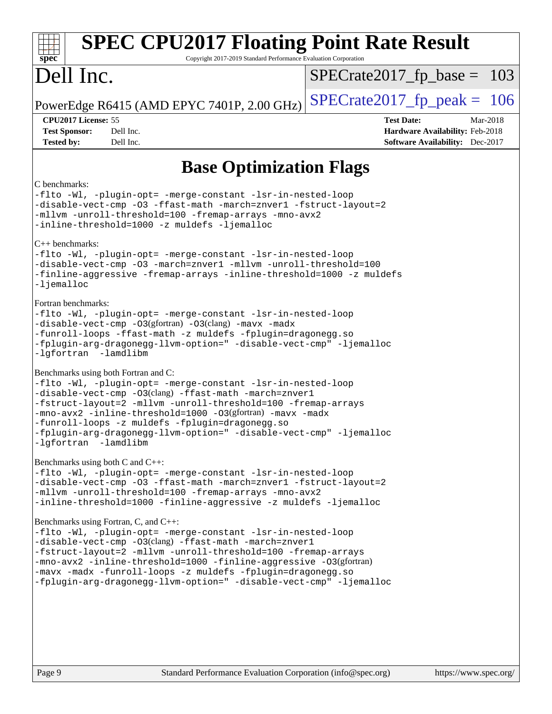| <b>SPEC CPU2017 Floating Point Rate Result</b><br>Copyright 2017-2019 Standard Performance Evaluation Corporation<br>spec <sup>®</sup>                                                                                                                                                                                                                                                                                                                                                                 |                                                                                                     |
|--------------------------------------------------------------------------------------------------------------------------------------------------------------------------------------------------------------------------------------------------------------------------------------------------------------------------------------------------------------------------------------------------------------------------------------------------------------------------------------------------------|-----------------------------------------------------------------------------------------------------|
| Dell Inc.                                                                                                                                                                                                                                                                                                                                                                                                                                                                                              | $SPECrate2017_fp\_base = 103$                                                                       |
| PowerEdge R6415 (AMD EPYC 7401P, 2.00 GHz)                                                                                                                                                                                                                                                                                                                                                                                                                                                             | $SPECTate2017$ _fp_peak = 106                                                                       |
| CPU2017 License: 55<br><b>Test Sponsor:</b><br>Dell Inc.<br><b>Tested by:</b><br>Dell Inc.                                                                                                                                                                                                                                                                                                                                                                                                             | <b>Test Date:</b><br>Mar-2018<br>Hardware Availability: Feb-2018<br>Software Availability: Dec-2017 |
| <b>Base Optimization Flags</b>                                                                                                                                                                                                                                                                                                                                                                                                                                                                         |                                                                                                     |
| C benchmarks:<br>-flto -Wl, -plugin-opt= -merge-constant -lsr-in-nested-loop<br>-disable-vect-cmp -03 -ffast-math -march=znver1 -fstruct-layout=2<br>-mllvm -unroll-threshold=100 -fremap-arrays -mno-avx2<br>-inline-threshold=1000 -z muldefs -ljemalloc<br>C++ benchmarks:<br>-flto -Wl, -plugin-opt= -merge-constant -lsr-in-nested-loop<br>-disable-vect-cmp -03 -march=znver1 -mllvm -unroll-threshold=100<br>-finline-aggressive -fremap-arrays -inline-threshold=1000 -z muldefs<br>-ljemalloc |                                                                                                     |
| Fortran benchmarks:<br>-flto -Wl, -plugin-opt= -merge-constant -lsr-in-nested-loop<br>-disable-vect-cmp -03(gfortran) -03(clang) -mavx -madx<br>-funroll-loops -ffast-math -z muldefs -fplugin=dragonegg.so<br>-fplugin-arg-dragonegg-llvm-option=" -disable-vect-cmp" -ljemalloc<br>-lgfortran -lamdlibm                                                                                                                                                                                              |                                                                                                     |
| Benchmarks using both Fortran and C:<br>-flto -Wl, -plugin-opt= -merge-constant -lsr-in-nested-loop<br>-disable-vect-cmp -03(clang) -ffast-math -march=znver1<br>-fstruct-layout=2 -mllvm -unroll-threshold=100 -fremap-arrays<br>-mno-avx2 -inline-threshold=1000 -03(gfortran) -mavx -madx<br>-funroll-loops -z muldefs -fplugin=dragonegg.so<br>-fplugin-arg-dragonegg-llvm-option=" -disable-vect-cmp" -ljemalloc<br>-lgfortran -lamdlibm                                                          |                                                                                                     |
| Benchmarks using both C and C++:<br>-flto -Wl, -plugin-opt= -merge-constant -lsr-in-nested-loop<br>-disable-vect-cmp -03 -ffast-math -march=znver1 -fstruct-layout=2<br>-mllvm -unroll-threshold=100 -fremap-arrays -mno-avx2<br>-inline-threshold=1000 -finline-aggressive -z muldefs -ljemalloc                                                                                                                                                                                                      |                                                                                                     |
| Benchmarks using Fortran, C, and C++:<br>-flto -Wl, -plugin-opt= -merge-constant -lsr-in-nested-loop<br>-disable-vect-cmp -03(clang) -ffast-math -march=znver1<br>-fstruct-layout=2 -mllvm -unroll-threshold=100 -fremap-arrays<br>-mno-avx2 -inline-threshold=1000 -finline-aggressive -03(gfortran)<br>-mavx -madx -funroll-loops -z muldefs -fplugin=dragonegg.so<br>-fplugin-arg-dragonegg-llvm-option=" -disable-vect-cmp" -ljemalloc                                                             |                                                                                                     |
|                                                                                                                                                                                                                                                                                                                                                                                                                                                                                                        |                                                                                                     |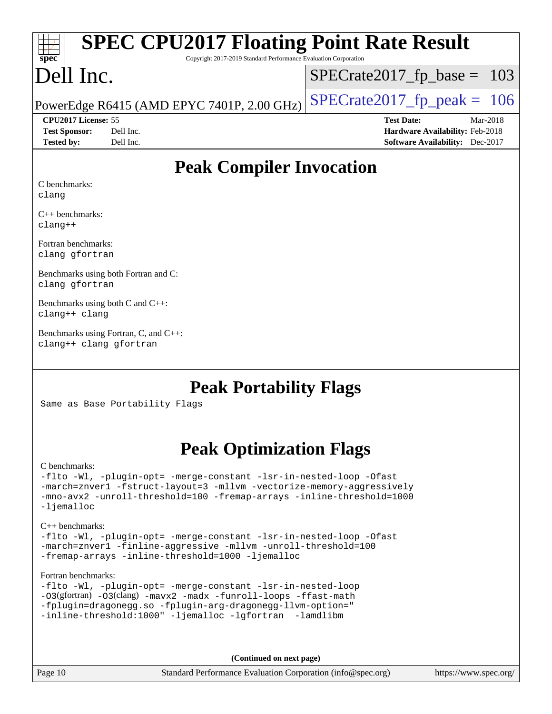| spe<br>Ľ |  |  |  |  |  |  |  |
|----------|--|--|--|--|--|--|--|

# **[SPEC CPU2017 Floating Point Rate Result](http://www.spec.org/auto/cpu2017/Docs/result-fields.html#SPECCPU2017FloatingPointRateResult)**

Copyright 2017-2019 Standard Performance Evaluation Corporation

# Dell Inc.

 $SPECTate2017_fp\_base = 103$ 

PowerEdge R6415 (AMD EPYC 7401P, 2.00 GHz)  $\left|$  [SPECrate2017\\_fp\\_peak =](http://www.spec.org/auto/cpu2017/Docs/result-fields.html#SPECrate2017fppeak) 106

**[Tested by:](http://www.spec.org/auto/cpu2017/Docs/result-fields.html#Testedby)** Dell Inc. **[Software Availability:](http://www.spec.org/auto/cpu2017/Docs/result-fields.html#SoftwareAvailability)** Dec-2017

**[CPU2017 License:](http://www.spec.org/auto/cpu2017/Docs/result-fields.html#CPU2017License)** 55 **[Test Date:](http://www.spec.org/auto/cpu2017/Docs/result-fields.html#TestDate)** Mar-2018 **[Test Sponsor:](http://www.spec.org/auto/cpu2017/Docs/result-fields.html#TestSponsor)** Dell Inc. **[Hardware Availability:](http://www.spec.org/auto/cpu2017/Docs/result-fields.html#HardwareAvailability)** Feb-2018

### **[Peak Compiler Invocation](http://www.spec.org/auto/cpu2017/Docs/result-fields.html#PeakCompilerInvocation)**

[C benchmarks:](http://www.spec.org/auto/cpu2017/Docs/result-fields.html#Cbenchmarks) [clang](http://www.spec.org/cpu2017/results/res2018q2/cpu2017-20180319-04030.flags.html#user_CCpeak_Fclang3)

[C++ benchmarks](http://www.spec.org/auto/cpu2017/Docs/result-fields.html#CXXbenchmarks): [clang++](http://www.spec.org/cpu2017/results/res2018q2/cpu2017-20180319-04030.flags.html#user_CXXpeak_Fclang3_57a48582e5be507d19b2527b3e7d4f85d9b8669ffc9a8a0dbb9bcf949a918a58bbab411e0c4d14a3922022a3e425a90db94042683824c1806feff4324ca1000d)

[Fortran benchmarks:](http://www.spec.org/auto/cpu2017/Docs/result-fields.html#Fortranbenchmarks) [clang](http://www.spec.org/cpu2017/results/res2018q2/cpu2017-20180319-04030.flags.html#user_FCpeak_Fclang3) [gfortran](http://www.spec.org/cpu2017/results/res2018q2/cpu2017-20180319-04030.flags.html#user_FCpeak_gfortran)

[Benchmarks using both Fortran and C:](http://www.spec.org/auto/cpu2017/Docs/result-fields.html#BenchmarksusingbothFortranandC) [clang](http://www.spec.org/cpu2017/results/res2018q2/cpu2017-20180319-04030.flags.html#user_CC_FCpeak_Fclang3) [gfortran](http://www.spec.org/cpu2017/results/res2018q2/cpu2017-20180319-04030.flags.html#user_CC_FCpeak_gfortran)

[Benchmarks using both C and C++](http://www.spec.org/auto/cpu2017/Docs/result-fields.html#BenchmarksusingbothCandCXX): [clang++](http://www.spec.org/cpu2017/results/res2018q2/cpu2017-20180319-04030.flags.html#user_CC_CXXpeak_Fclang3_57a48582e5be507d19b2527b3e7d4f85d9b8669ffc9a8a0dbb9bcf949a918a58bbab411e0c4d14a3922022a3e425a90db94042683824c1806feff4324ca1000d) [clang](http://www.spec.org/cpu2017/results/res2018q2/cpu2017-20180319-04030.flags.html#user_CC_CXXpeak_Fclang3)

[Benchmarks using Fortran, C, and C++](http://www.spec.org/auto/cpu2017/Docs/result-fields.html#BenchmarksusingFortranCandCXX): [clang++](http://www.spec.org/cpu2017/results/res2018q2/cpu2017-20180319-04030.flags.html#user_CC_CXX_FCpeak_Fclang3_57a48582e5be507d19b2527b3e7d4f85d9b8669ffc9a8a0dbb9bcf949a918a58bbab411e0c4d14a3922022a3e425a90db94042683824c1806feff4324ca1000d) [clang](http://www.spec.org/cpu2017/results/res2018q2/cpu2017-20180319-04030.flags.html#user_CC_CXX_FCpeak_Fclang3) [gfortran](http://www.spec.org/cpu2017/results/res2018q2/cpu2017-20180319-04030.flags.html#user_CC_CXX_FCpeak_gfortran)

### **[Peak Portability Flags](http://www.spec.org/auto/cpu2017/Docs/result-fields.html#PeakPortabilityFlags)**

Same as Base Portability Flags

## **[Peak Optimization Flags](http://www.spec.org/auto/cpu2017/Docs/result-fields.html#PeakOptimizationFlags)**

#### [C benchmarks](http://www.spec.org/auto/cpu2017/Docs/result-fields.html#Cbenchmarks):

[-flto](http://www.spec.org/cpu2017/results/res2018q2/cpu2017-20180319-04030.flags.html#user_CCpeak_F-flto) [-Wl,](http://www.spec.org/cpu2017/results/res2018q2/cpu2017-20180319-04030.flags.html#user_CCpeak_F-Wl_5f669859b7c1a0295edc4f5fd536c381023f180a987810cb5cfa1d9467a27ac14b13770b9732d7618b24fc778f3dfdf68b65521d505fc870281e0142944925a0) [-plugin-opt=](http://www.spec.org/cpu2017/results/res2018q2/cpu2017-20180319-04030.flags.html#user_CCpeak_F-plugin-opt_772899571bb6157e4b8feeb3276e6c06dec41c1bbb0aa637c8700742a4baaf7e7b56061e32ae2365a76a44d8c448177ca3ee066cdf7537598ff772fc461942c2) [-merge-constant](http://www.spec.org/cpu2017/results/res2018q2/cpu2017-20180319-04030.flags.html#user_CCpeak_F-merge-constant_bdb3ec75d21d5cf0ab1961ebe7105d0ea3b0c6d89a312cf7efc1d107e6c56c92c36b5d564d0702d1e2526f6b92f188b4413eb5a54b1f9e4a41f5a9bfc0233b92) [-lsr-in-nested-loop](http://www.spec.org/cpu2017/results/res2018q2/cpu2017-20180319-04030.flags.html#user_CCpeak_F-lsr-in-nested-loop) [-Ofast](http://www.spec.org/cpu2017/results/res2018q2/cpu2017-20180319-04030.flags.html#user_CCpeak_F-Ofast) [-march=znver1](http://www.spec.org/cpu2017/results/res2018q2/cpu2017-20180319-04030.flags.html#user_CCpeak_march_082ab2c5e8f99f69c47c63adfdc26f9617958cc68d0b5dbfb7aa6935cde4c91d5d9c2fdc24e6781fa8a0299196f2f4ca8e995f825d797de797910507b4251bb3) [-fstruct-layout=3](http://www.spec.org/cpu2017/results/res2018q2/cpu2017-20180319-04030.flags.html#user_CCpeak_F-fstruct-layout) [-mllvm](http://www.spec.org/cpu2017/results/res2018q2/cpu2017-20180319-04030.flags.html#user_CCpeak_F-mllvm_76e3f86ef8d8cc4dfa84cec42d531db351fee284f72cd5d644b5bdbef9c2604296512be6a431d9e19d0523544399ea9dd745afc2fff755a0705d428460dc659e) [-vectorize-memory-aggressively](http://www.spec.org/cpu2017/results/res2018q2/cpu2017-20180319-04030.flags.html#user_CCpeak_F-vectorize-memory-aggressively) [-mno-avx2](http://www.spec.org/cpu2017/results/res2018q2/cpu2017-20180319-04030.flags.html#user_CCpeak_F-mno-avx2) [-unroll-threshold=100](http://www.spec.org/cpu2017/results/res2018q2/cpu2017-20180319-04030.flags.html#user_CCpeak_F-unroll-threshold) [-fremap-arrays](http://www.spec.org/cpu2017/results/res2018q2/cpu2017-20180319-04030.flags.html#user_CCpeak_F-fremap-arrays) [-inline-threshold=1000](http://www.spec.org/cpu2017/results/res2018q2/cpu2017-20180319-04030.flags.html#user_CCpeak_F-inline-threshold_1daf3e0321a7a0c1ea19068c818f3f119b1e5dfc986cc791557791f4b93536c1546ba0c8585f62303269f504aa232e0ca278e8489928152e32e0752215741730) [-ljemalloc](http://www.spec.org/cpu2017/results/res2018q2/cpu2017-20180319-04030.flags.html#user_CCpeak_F-ljemalloc)

#### [C++ benchmarks:](http://www.spec.org/auto/cpu2017/Docs/result-fields.html#CXXbenchmarks)

[-flto](http://www.spec.org/cpu2017/results/res2018q2/cpu2017-20180319-04030.flags.html#user_CXXpeak_F-flto) [-Wl,](http://www.spec.org/cpu2017/results/res2018q2/cpu2017-20180319-04030.flags.html#user_CXXpeak_F-Wl_5f669859b7c1a0295edc4f5fd536c381023f180a987810cb5cfa1d9467a27ac14b13770b9732d7618b24fc778f3dfdf68b65521d505fc870281e0142944925a0) [-plugin-opt=](http://www.spec.org/cpu2017/results/res2018q2/cpu2017-20180319-04030.flags.html#user_CXXpeak_F-plugin-opt_772899571bb6157e4b8feeb3276e6c06dec41c1bbb0aa637c8700742a4baaf7e7b56061e32ae2365a76a44d8c448177ca3ee066cdf7537598ff772fc461942c2) [-merge-constant](http://www.spec.org/cpu2017/results/res2018q2/cpu2017-20180319-04030.flags.html#user_CXXpeak_F-merge-constant_bdb3ec75d21d5cf0ab1961ebe7105d0ea3b0c6d89a312cf7efc1d107e6c56c92c36b5d564d0702d1e2526f6b92f188b4413eb5a54b1f9e4a41f5a9bfc0233b92) [-lsr-in-nested-loop](http://www.spec.org/cpu2017/results/res2018q2/cpu2017-20180319-04030.flags.html#user_CXXpeak_F-lsr-in-nested-loop) [-Ofast](http://www.spec.org/cpu2017/results/res2018q2/cpu2017-20180319-04030.flags.html#user_CXXpeak_F-Ofast) [-march=znver1](http://www.spec.org/cpu2017/results/res2018q2/cpu2017-20180319-04030.flags.html#user_CXXpeak_march_082ab2c5e8f99f69c47c63adfdc26f9617958cc68d0b5dbfb7aa6935cde4c91d5d9c2fdc24e6781fa8a0299196f2f4ca8e995f825d797de797910507b4251bb3) [-finline-aggressive](http://www.spec.org/cpu2017/results/res2018q2/cpu2017-20180319-04030.flags.html#user_CXXpeak_F-finline-aggressive) [-mllvm](http://www.spec.org/cpu2017/results/res2018q2/cpu2017-20180319-04030.flags.html#user_CXXpeak_F-mllvm_76e3f86ef8d8cc4dfa84cec42d531db351fee284f72cd5d644b5bdbef9c2604296512be6a431d9e19d0523544399ea9dd745afc2fff755a0705d428460dc659e) [-unroll-threshold=100](http://www.spec.org/cpu2017/results/res2018q2/cpu2017-20180319-04030.flags.html#user_CXXpeak_F-unroll-threshold) [-fremap-arrays](http://www.spec.org/cpu2017/results/res2018q2/cpu2017-20180319-04030.flags.html#user_CXXpeak_F-fremap-arrays) [-inline-threshold=1000](http://www.spec.org/cpu2017/results/res2018q2/cpu2017-20180319-04030.flags.html#user_CXXpeak_F-inline-threshold_1daf3e0321a7a0c1ea19068c818f3f119b1e5dfc986cc791557791f4b93536c1546ba0c8585f62303269f504aa232e0ca278e8489928152e32e0752215741730) [-ljemalloc](http://www.spec.org/cpu2017/results/res2018q2/cpu2017-20180319-04030.flags.html#user_CXXpeak_F-ljemalloc)

#### [Fortran benchmarks](http://www.spec.org/auto/cpu2017/Docs/result-fields.html#Fortranbenchmarks):

|                                                         |  | -flto -Wl, -plugin-opt= -merge-constant -lsr-in-nested-loop      |
|---------------------------------------------------------|--|------------------------------------------------------------------|
|                                                         |  | -03(gfortran) -03(clang) -mavx2 -madx -funroll-loops -ffast-math |
|                                                         |  | -fplugin=dragonegg.so -fplugin-arg-dragonegg-llvm-option="       |
| -inline-threshold:1000" -ljemalloc -lqfortran -lamdlibm |  |                                                                  |

**(Continued on next page)**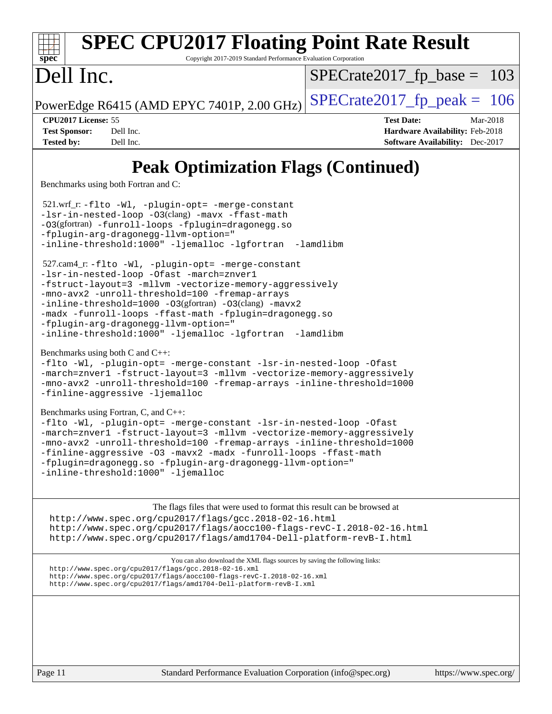| <b>SPEC CPU2017 Floating Point Rate Result</b><br>Spec<br>Copyright 2017-2019 Standard Performance Evaluation Corporation                                                                                                                                                                                                                                                                                                            |                                                                                                     |
|--------------------------------------------------------------------------------------------------------------------------------------------------------------------------------------------------------------------------------------------------------------------------------------------------------------------------------------------------------------------------------------------------------------------------------------|-----------------------------------------------------------------------------------------------------|
| Dell Inc.                                                                                                                                                                                                                                                                                                                                                                                                                            | $SPECrate2017_fp\_base = 103$                                                                       |
| PowerEdge R6415 (AMD EPYC 7401P, 2.00 GHz)                                                                                                                                                                                                                                                                                                                                                                                           | $SPECrate2017fp peak = 106$                                                                         |
| CPU2017 License: 55<br><b>Test Sponsor:</b><br>Dell Inc.<br>Dell Inc.<br><b>Tested by:</b>                                                                                                                                                                                                                                                                                                                                           | <b>Test Date:</b><br>Mar-2018<br>Hardware Availability: Feb-2018<br>Software Availability: Dec-2017 |
| <b>Peak Optimization Flags (Continued)</b><br>Benchmarks using both Fortran and C:                                                                                                                                                                                                                                                                                                                                                   |                                                                                                     |
| 521.wrf_r:-flto -Wl, -plugin-opt= -merge-constant<br>-lsr-in-nested-loop -03(clang) -mavx -ffast-math<br>-03(gfortran) -funroll-loops -fplugin=dragonegg.so<br>-fplugin-arg-dragonegg-llvm-option="<br>-inline-threshold:1000" -ljemalloc -lgfortran -lamdlibm                                                                                                                                                                       |                                                                                                     |
| 527.cam4_r: -flto -Wl, -plugin-opt= -merge-constant<br>-lsr-in-nested-loop -Ofast -march=znver1<br>-fstruct-layout=3 -mllvm -vectorize-memory-aggressively<br>-mno-avx2 -unroll-threshold=100 -fremap-arrays<br>-inline-threshold=1000 -03(gfortran) -03(clang) -mavx2<br>-madx -funroll-loops -ffast-math -fplugin=dragonegg.so<br>-fplugin-arg-dragonegg-llvm-option="<br>-inline-threshold:1000" -ljemalloc -lgfortran -lamdlibm  |                                                                                                     |
| Benchmarks using both C and C++:<br>-flto -Wl, -plugin-opt= -merge-constant -lsr-in-nested-loop -Ofast<br>-march=znver1 -fstruct-layout=3 -mllvm -vectorize-memory-aggressively<br>-mno-avx2 -unroll-threshold=100 -fremap-arrays -inline-threshold=1000<br>-finline-aggressive -ljemalloc                                                                                                                                           |                                                                                                     |
| Benchmarks using Fortran, C, and C++:<br>-flto -Wl, -plugin-opt= -merge-constant -lsr-in-nested-loop -Ofast<br>-march=znver1 -fstruct-layout=3 -mllvm -vectorize-memory-aggressively<br>-mno-avx2 -unroll-threshold=100 -fremap-arrays -inline-threshold=1000<br>-finline-aggressive -03 -mavx2 -madx -funroll-loops -ffast-math<br>-fplugin=dragonegg.so -fplugin-arg-dragonegg-llvm-option="<br>-inline-threshold:1000" -ljemalloc |                                                                                                     |
| The flags files that were used to format this result can be browsed at<br>http://www.spec.org/cpu2017/flags/gcc.2018-02-16.html<br>http://www.spec.org/cpu2017/flags/aocc100-flags-revC-I.2018-02-16.html<br>http://www.spec.org/cpu2017/flags/amd1704-Dell-platform-revB-I.html                                                                                                                                                     |                                                                                                     |
| You can also download the XML flags sources by saving the following links:<br>http://www.spec.org/cpu2017/flags/gcc.2018-02-16.xml<br>http://www.spec.org/cpu2017/flags/aocc100-flags-revC-I.2018-02-16.xml<br>http://www.spec.org/cpu2017/flags/amd1704-Dell-platform-revB-I.xml                                                                                                                                                    |                                                                                                     |
|                                                                                                                                                                                                                                                                                                                                                                                                                                      |                                                                                                     |